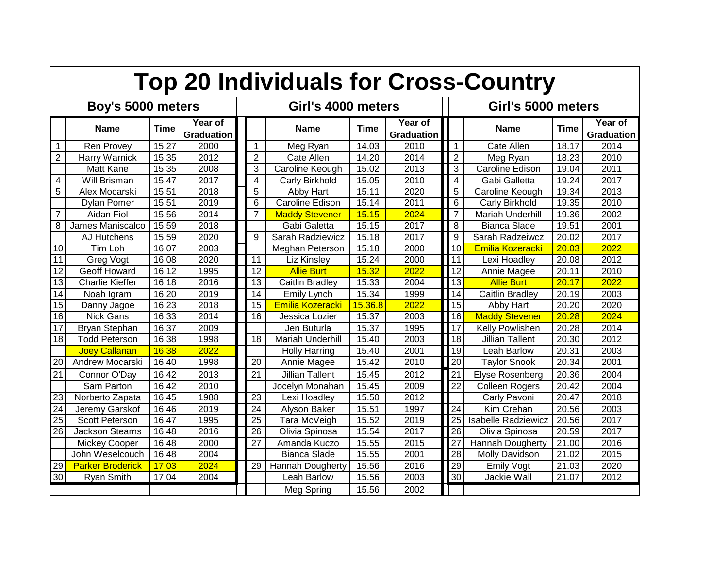| <b>Top 20 Individuals for Cross-Country</b> |                         |             |                              |  |                    |                         |             |                              |                    |                            |                    |                              |
|---------------------------------------------|-------------------------|-------------|------------------------------|--|--------------------|-------------------------|-------------|------------------------------|--------------------|----------------------------|--------------------|------------------------------|
| Boy's 5000 meters                           |                         |             |                              |  | Girl's 4000 meters |                         |             |                              | Girl's 5000 meters |                            |                    |                              |
|                                             | <b>Name</b>             | <b>Time</b> | Year of<br><b>Graduation</b> |  |                    | <b>Name</b>             | <b>Time</b> | Year of<br><b>Graduation</b> |                    | <b>Name</b>                | <b>Time</b>        | Year of<br><b>Graduation</b> |
| 1                                           | <b>Ren Provey</b>       | 15.27       | 2000                         |  | 1                  | Meg Ryan                | 14.03       | 2010                         | $\mathbf 1$        | <b>Cate Allen</b>          | 18.17              | 2014                         |
| $\overline{2}$                              | Harry Warnick           | 15.35       | 2012                         |  | $\overline{2}$     | Cate Allen              | 14.20       | 2014                         | $\overline{2}$     | Meg Ryan                   | 18.23              | 2010                         |
|                                             | Matt Kane               | 15.35       | 2008                         |  | 3                  | Caroline Keough         | 15.02       | 2013                         | 3                  | Caroline Edison            | 19.04              | 2011                         |
| 4                                           | Will Brisman            | 15.47       | 2017                         |  | 4                  | Carly Birkhold          | 15.05       | 2010                         | 4                  | Gabi Galletta              | 19.24              | $201\overline{7}$            |
| 5                                           | Alex Mocarski           | 15.51       | 2018                         |  | 5                  | Abby Hart               | 15.11       | 2020                         | 5                  | Caroline Keough            | 19.34              | 2013                         |
|                                             | <b>Dylan Pomer</b>      | 15.51       | 2019                         |  | 6                  | Caroline Edison         | 15.14       | 2011                         | 6                  | Carly Birkhold             | 19.35              | 2010                         |
| $\overline{7}$                              | Aidan Fiol              | 15.56       | 2014                         |  | 7                  | <b>Maddy Stevener</b>   | 15.15       | 2024                         | $\overline{7}$     | Mariah Underhill           | 19.36              | 2002                         |
| 8                                           | James Maniscalco        | 15.59       | 2018                         |  |                    | Gabi Galetta            | 15.15       | 2017                         | 8                  | <b>Bianca Slade</b>        | 19.51              | 2001                         |
|                                             | AJ Hutchens             | 15.59       | 2020                         |  | 9                  | Sarah Radziewicz        | 15.18       | 2017                         | 9                  | Sarah Radzeiwcz            | 20.02              | 2017                         |
| 10                                          | Tim Loh                 | 16.07       | 2003                         |  |                    | Meghan Peterson         | 15.18       | 2000                         | 10                 | Emilia Kozeracki           | 20.03              | 2022                         |
| 11                                          | Greg Vogt               | 16.08       | 2020                         |  | 11                 | Liz Kinsley             | 15.24       | 2000                         | 11                 | Lexi Hoadley               | 20.08              | 2012                         |
| $\overline{12}$                             | Geoff Howard            | 16.12       | 1995                         |  | 12                 | <b>Allie Burt</b>       | 15.32       | 2022                         | $\overline{12}$    | Annie Magee                | 20.11              | 2010                         |
| $\overline{13}$                             | <b>Charlie Kieffer</b>  | 16.18       | 2016                         |  | 13                 | Caitlin Bradley         | 15.33       | 2004                         | $\overline{13}$    | <b>Allie Burt</b>          | 20.17              | 2022                         |
| 14                                          | Noah Igram              | 16.20       | 2019                         |  | 14                 | Emily Lynch             | 15.34       | 1999                         | 14                 | Caitlin Bradley            | 20.19              | 2003                         |
| 15                                          | Danny Jagoe             | 16.23       | 2018                         |  | 15                 | Emilia Kozeracki        | 15.36.8     | 2022                         | 15                 | Abby Hart                  | 20.20              | 2020                         |
| 16                                          | <b>Nick Gans</b>        | 16.33       | 2014                         |  | 16                 | Jessica Lozier          | 15.37       | 2003                         | 16                 | <b>Maddy Stevener</b>      | 20.28              | 2024                         |
| 17                                          | <b>Bryan Stephan</b>    | 16.37       | 2009                         |  |                    | Jen Buturla             | 15.37       | 1995                         | 17                 | Kelly Powlishen            | 20.28              | 2014                         |
| 18                                          | <b>Todd Peterson</b>    | 16.38       | 1998                         |  | 18                 | <b>Mariah Underhill</b> | 15.40       | 2003                         | 18                 | <b>Jillian Tallent</b>     | 20.30              | 2012                         |
|                                             | <b>Joey Callanan</b>    | 16.38       | 2022                         |  |                    | <b>Holly Harring</b>    | 15.40       | 2001                         | 19                 | Leah Barlow                | 20.31              | 2003                         |
| 20                                          | Andrew Mocarski         | 16.40       | 1998                         |  | 20                 | Annie Magee             | 15.42       | 2010                         | $\overline{20}$    | <b>Taylor Snook</b>        | 20.34              | 2001                         |
| 21                                          | Connor O'Day            | 16.42       | 2013                         |  | 21                 | <b>Jillian Tallent</b>  | 15.45       | 2012                         | 21                 | <b>Elyse Rosenberg</b>     | 20.36              | 2004                         |
|                                             | Sam Parton              | 16.42       | 2010                         |  |                    | Jocelyn Monahan         | 15.45       | 2009                         | $\overline{22}$    | <b>Colleen Rogers</b>      | $\overline{20.42}$ | 2004                         |
| 23                                          | Norberto Zapata         | 16.45       | 1988                         |  | 23                 | Lexi Hoadley            | 15.50       | 2012                         |                    | Carly Pavoni               | 20.47              | 2018                         |
| 24                                          | Jeremy Garskof          | 16.46       | 2019                         |  | 24                 | Alyson Baker            | 15.51       | 1997                         | 24                 | Kim Crehan                 | 20.56              | 2003                         |
| 25                                          | <b>Scott Peterson</b>   | 16.47       | 1995                         |  | 25                 | Tara McVeigh            | 15.52       | 2019                         | $\overline{25}$    | <b>Isabelle Radziewicz</b> | 20.56              | 2017                         |
| 26                                          | <b>Jackson Stearns</b>  | 16.48       | 2016                         |  | 26                 | Olivia Spinosa          | 15.54       | 2017                         | $\overline{26}$    | Olivia Spinosa             | 20.59              | 2017                         |
|                                             | <b>Mickey Cooper</b>    | 16.48       | 2000                         |  | 27                 | Amanda Kuczo            | 15.55       | 2015                         | $\overline{27}$    | <b>Hannah Dougherty</b>    | 21.00              | 2016                         |
|                                             | John Weselcouch         | 16.48       | 2004                         |  |                    | <b>Bianca Slade</b>     | 15.55       | 2001                         | $\overline{28}$    | <b>Molly Davidson</b>      | 21.02              | 2015                         |
| 29                                          | <b>Parker Broderick</b> | 17.03       | 2024                         |  | 29                 | Hannah Dougherty        | 15.56       | 2016                         | 29                 | <b>Emily Vogt</b>          | 21.03              | 2020                         |
| 30                                          | <b>Ryan Smith</b>       | 17.04       | 2004                         |  |                    | Leah Barlow             | 15.56       | 2003                         | 30                 | Jackie Wall                | 21.07              | 2012                         |
|                                             |                         |             |                              |  |                    | Meg Spring              | 15.56       | 2002                         |                    |                            |                    |                              |